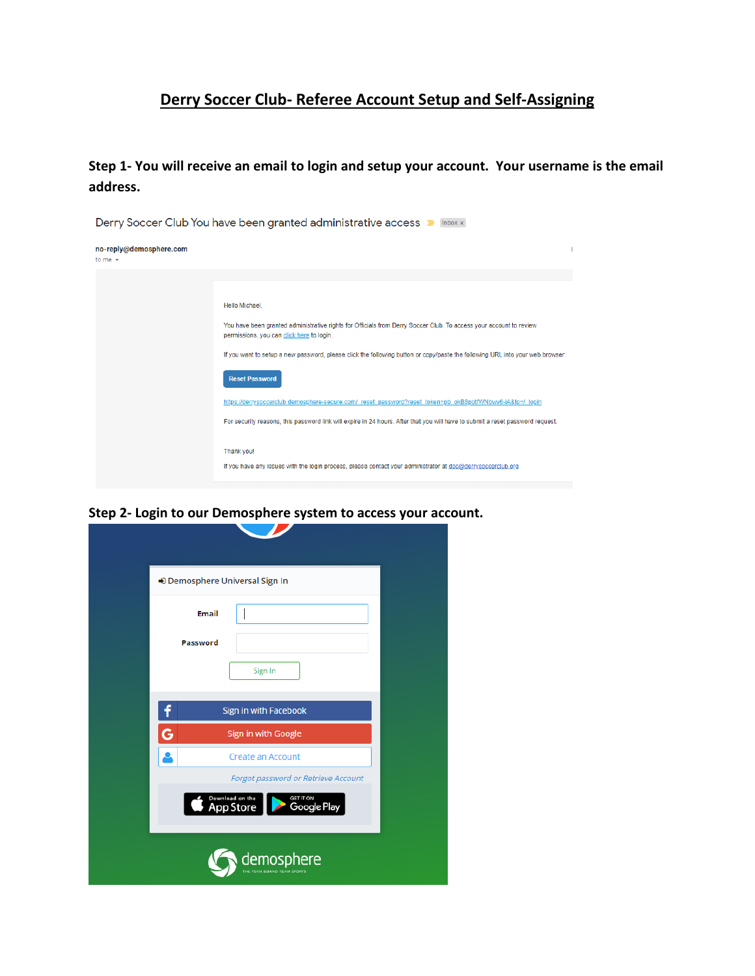## **Derry Soccer Club- Referee Account Setup and Self-Assigning**

**Step 1- You will receive an email to login and setup your account. Your username is the email address.**



**Step 2- Login to our Demosphere system to access your account.**

| Demosphere Universal Sign In                                    |  |
|-----------------------------------------------------------------|--|
| <b>Email</b>                                                    |  |
| Password                                                        |  |
| Sign In                                                         |  |
| Sign in with Facebook                                           |  |
| G<br>Sign in with Google                                        |  |
| Create an Account                                               |  |
| Forgot password or Retrieve Account                             |  |
| Download on the<br>App Store<br>GET IT ON<br><b>Google Play</b> |  |
| demosphere<br>THE TEAM BEHIND TEAM SPORTS                       |  |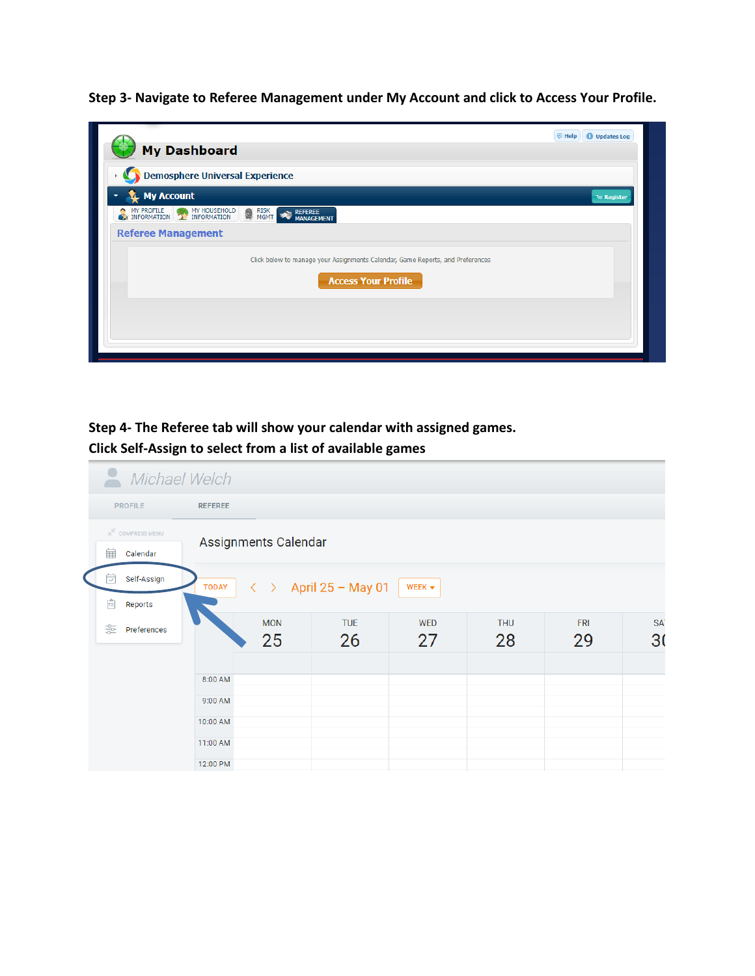**Step 3- Navigate to Referee Management under My Account and click to Access Your Profile.**

|                                                                                | <b>O</b> Updates Log<br><b>同 Help</b> |
|--------------------------------------------------------------------------------|---------------------------------------|
| <b>My Dashboard</b>                                                            |                                       |
| Demosphere Universal Experience                                                |                                       |
| <b>My Account</b>                                                              | <b>Tell Register</b>                  |
| MY PROFILE MY HOUSEHOLD<br><b>NEW RISK</b><br>REFEREE<br>MANAGEMENT            |                                       |
| <b>Referee Management</b>                                                      |                                       |
| Click below to manage your Assignments Calendar, Game Reports, and Preferences |                                       |
| <b>Access Your Profile</b>                                                     |                                       |
|                                                                                |                                       |
|                                                                                |                                       |
|                                                                                |                                       |

**Step 4- The Referee tab will show your calendar with assigned games. Click Self-Assign to select from a list of available games**

| Michael Welch                                                                                                                                                                      |                                           |                      |                  |                  |                  |                  |                  |                                   |  |
|------------------------------------------------------------------------------------------------------------------------------------------------------------------------------------|-------------------------------------------|----------------------|------------------|------------------|------------------|------------------|------------------|-----------------------------------|--|
| <b>PROFILE</b><br><b>REFEREE</b>                                                                                                                                                   |                                           |                      |                  |                  |                  |                  |                  |                                   |  |
|                                                                                                                                                                                    | $\n  S\n  COMPRESS MENU$<br>宙<br>Calendar | Assignments Calendar |                  |                  |                  |                  |                  |                                   |  |
| Self-Assign<br>⊽<br>April 25 - May 01<br>$\langle \quad \rangle$<br><b>TODAY</b><br>WEEK $\blacktriangledown$<br>$\left[\stackrel{\scriptscriptstyle\Omega}{:=}\right]$<br>Reports |                                           |                      |                  |                  |                  |                  |                  |                                   |  |
|                                                                                                                                                                                    | 읉<br>Preferences                          |                      | <b>MON</b><br>25 | <b>TUE</b><br>26 | <b>WED</b><br>27 | <b>THU</b><br>28 | <b>FRI</b><br>29 | SA <sup>-</sup><br>3 <sub>0</sub> |  |
|                                                                                                                                                                                    |                                           | 8:00 AM              |                  |                  |                  |                  |                  |                                   |  |
|                                                                                                                                                                                    |                                           | 9:00 AM<br>10:00 AM  |                  |                  |                  |                  |                  |                                   |  |
|                                                                                                                                                                                    |                                           | 11:00 AM<br>12:00 PM |                  |                  |                  |                  |                  |                                   |  |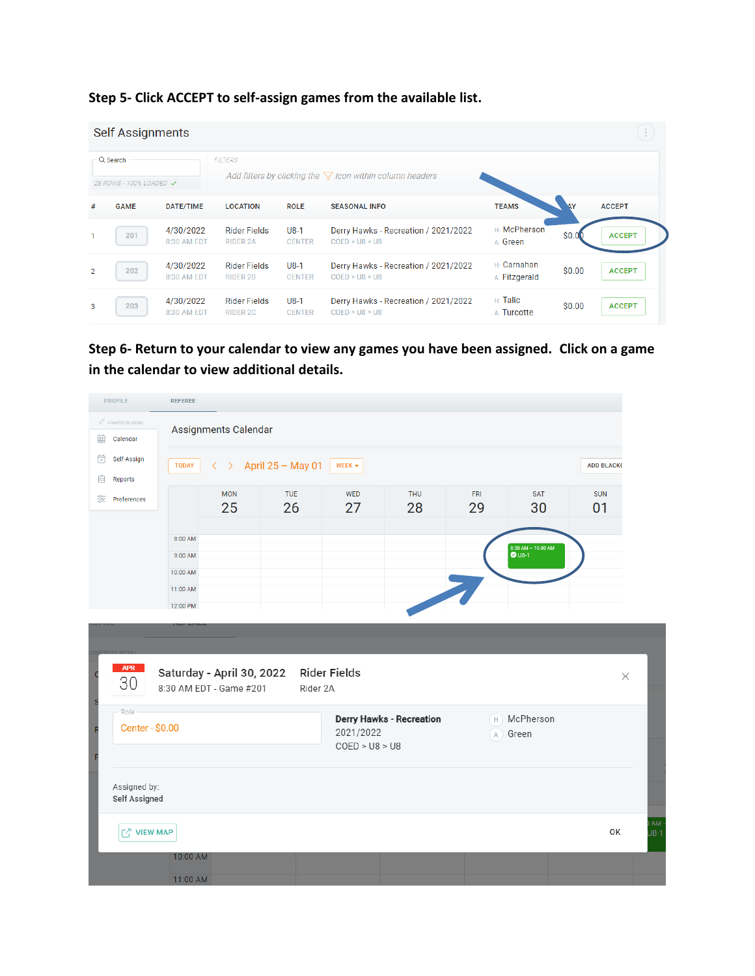| Step 5- Click ACCEPT to self-assign games from the available list. |  |  |  |  |  |
|--------------------------------------------------------------------|--|--|--|--|--|
|--------------------------------------------------------------------|--|--|--|--|--|

|                                       | Self Assignments<br>$\mathcal{L}_{\mathcal{A}}$ |                          |                                                                                    |                         |                                                        |                                     |           |               |  |
|---------------------------------------|-------------------------------------------------|--------------------------|------------------------------------------------------------------------------------|-------------------------|--------------------------------------------------------|-------------------------------------|-----------|---------------|--|
| $Q$ Search<br>28 ROWS - 100% LOADED V |                                                 |                          | <b>FILTERS:</b><br>Add filters by clicking the $\nabla$ icon within column headers |                         |                                                        |                                     |           |               |  |
| #                                     | <b>GAME</b>                                     | DATE/TIME                | <b>LOCATION</b>                                                                    | <b>ROLE</b>             | <b>SEASONAL INFO</b>                                   | <b>TEAMS</b>                        | <b>AY</b> | <b>ACCEPT</b> |  |
|                                       | 201                                             | 4/30/2022<br>8:30 AM EDT | <b>Rider Fields</b><br><b>RIDER 2A</b>                                             | $U8-1$<br><b>CENTER</b> | Derry Hawks - Recreation / 2021/2022<br>COED > US > US | H: McPherson<br>A: Green            | \$0.0     | <b>ACCEPT</b> |  |
| $\overline{2}$                        | 202                                             | 4/30/2022<br>8:30 AM EDT | <b>Rider Fields</b><br><b>RIDER 2B</b>                                             | $U8-1$<br><b>CENTER</b> | Derry Hawks - Recreation / 2021/2022<br>COED > US > US | <b>H:</b> Carnahan<br>A: Fitzgerald | \$0.00    | <b>ACCEPT</b> |  |
| 3                                     | 203                                             | 4/30/2022<br>8:30 AM EDT | <b>Rider Fields</b><br>RIDER 2C                                                    | $U8-1$<br><b>CENTER</b> | Derry Hawks - Recreation / 2021/2022<br>COED > US > US | $H:$ Talic<br>A: Turcotte           | \$0.00    | <b>ACCEPT</b> |  |

**Step 6- Return to your calendar to view any games you have been assigned. Click on a game in the calendar to view additional details.**